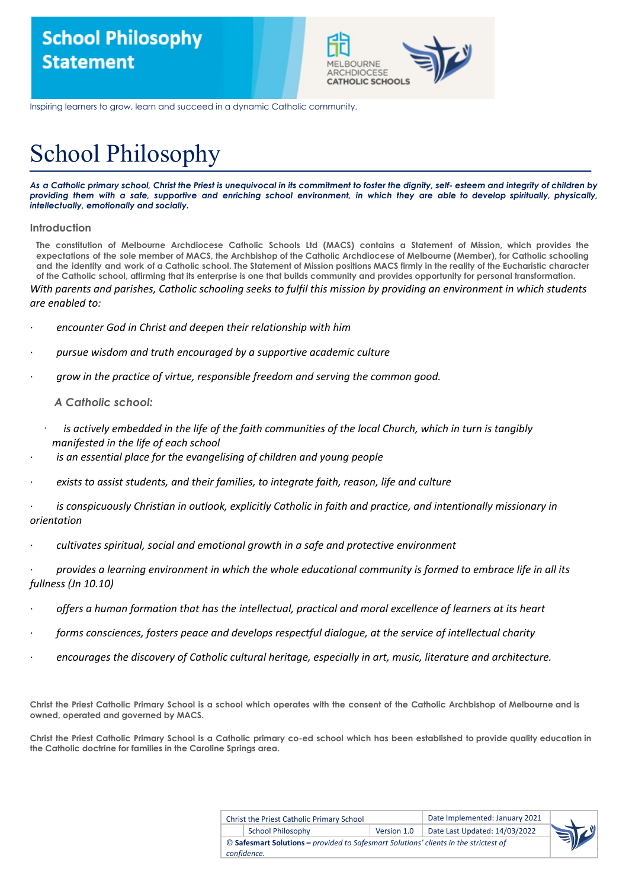

Inspiring learners to grow, learn and succeed in a dynamic Catholic community.

# School Philosophy

As a Catholic primary school, Christ the Priest is unequivocal in its commitment to foster the dignity, self-esteem and integrity of children by providing them with a safe, supportive and enriching school environment, in which they are able to develop spiritually, physically, *intellectually, emotionally and socially.*

## **Introduction**

The constitution of Melbourne Archdiocese Catholic Schools Ltd (MACS) contains a Statement of Mission, which provides the expectations of the sole member of MACS, the Archbishop of the Catholic Archdiocese of Melbourne (Member), for Catholic schooling and the identity and work of a Catholic school. The Statement of Mission positions MACS firmly in the reality of the Eucharistic character of the Catholic school, affirming that its enterprise is one that builds community and provides opportunity for personal transformation.

With parents and parishes, Catholic schooling seeks to fulfil this mission by providing an environment in which students *are enabled to:*

- *· encounter God in Christ and deepen their relationship with him*
- *· pursue wisdom and truth encouraged by a supportive academic culture*
- *· grow in the practice of virtue, responsible freedom and serving the common good.*

*A Catholic school:*

- is actively embedded in the life of the faith communities of the local Church, which in turn is tangibly *manifested in the life of each school*
- *· is an essential place for the evangelising of children and young people*
- *· exists to assist students, and their families, to integrate faith, reason, life and culture*
- is conspicuously Christian in outlook, explicitly Catholic in faith and practice, and intentionally missionary in *orientation*
- *· cultivates spiritual, social and emotional growth in a safe and protective environment*

provides a learning environment in which the whole educational community is formed to embrace life in all its *fullness (Jn 10.10)*

- offers a human formation that has the intellectual, practical and moral excellence of learners at its heart
- *· forms consciences, fosters peace and develops respectful dialogue, at the service of intellectual charity*
- *· encourages the discovery of Catholic cultural heritage, especially in art, music, literature and architecture.*

Christ the Priest Catholic Primary School is a school which operates with the consent of the Catholic Archbishop of Melbourne and is **owned, operated and governed by MACS.**

Christ the Priest Catholic Primary School is a Catholic primary co-ed school which has been established to provide quality education in **the Catholic doctrine for families in the Caroline Springs area.**

| <b>Christ the Priest Catholic Primary School</b>                                     |             | Date Implemented: January 2021 |  |  |
|--------------------------------------------------------------------------------------|-------------|--------------------------------|--|--|
| <b>School Philosophy</b>                                                             | Version 1.0 | Date Last Updated: 14/03/2022  |  |  |
| © Safesmart Solutions – provided to Safesmart Solutions' clients in the strictest of |             |                                |  |  |
| confidence.                                                                          |             |                                |  |  |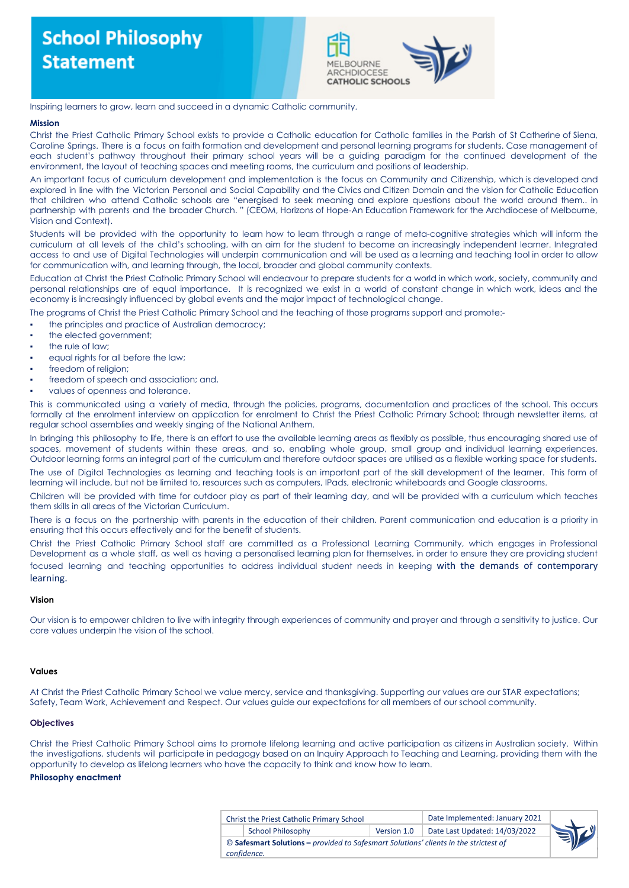

#### Inspiring learners to grow, learn and succeed in a dynamic Catholic community.

#### **Mission**

Christ the Priest Catholic Primary School exists to provide a Catholic education for Catholic families in the Parish of St Catherine of Siena, Caroline Springs. There is a focus on faith formation and development and personal learning programs for students. Case management of each student's pathway throughout their primary school years will be a guiding paradigm for the continued development of the environment, the layout of teaching spaces and meeting rooms, the curriculum and positions of leadership.

An important focus of curriculum development and implementation is the focus on Community and Citizenship, which is developed and explored in line with the Victorian Personal and Social Capability and the Civics and Citizen Domain and the vision for Catholic Education that children who attend Catholic schools are "energised to seek meaning and explore questions about the world around them.. in partnership with parents and the broader Church. " (CEOM, Horizons of Hope-An Education Framework for the Archdiocese of Melbourne, Vision and Context).

Students will be provided with the opportunity to learn how to learn through a range of meta-cognitive strategies which will inform the curriculum at all levels of the child's schooling, with an aim for the student to become an increasingly independent learner. Integrated access to and use of Digital Technologies will underpin communication and will be used as a learning and teaching tool in order to allow for communication with, and learning through, the local, broader and global community contexts.

Education at Christ the Priest Catholic Primary School will endeavour to prepare students for a world in which work, society, community and personal relationships are of equal importance. It is recognized we exist in a world of constant change in which work, ideas and the economy is increasingly influenced by global events and the major impact of technological change.

The programs of Christ the Priest Catholic Primary School and the teaching of those programs support and promote:-

- the principles and practice of Australian democracy;
- the elected government;
- the rule of law;
- equal rights for all before the law;
- freedom of religion:
- freedom of speech and association; and,
- values of openness and tolerance.

This is communicated using a variety of media, through the policies, programs, documentation and practices of the school. This occurs formally at the enrolment interview on application for enrolment to Christ the Priest Catholic Primary School; through newsletter items, at regular school assemblies and weekly singing of the National Anthem.

In bringing this philosophy to life, there is an effort to use the available learning areas as flexibly as possible, thus encouraging shared use of spaces, movement of students within these areas, and so, enabling whole group, small group and individual learning experiences. Outdoor learning forms an integral part of the curriculum and therefore outdoor spaces are utilised as a flexible working space for students.

The use of Digital Technologies as learning and teaching tools is an important part of the skill development of the learner. This form of learning will include, but not be limited to, resources such as computers, IPads, electronic whiteboards and Google classrooms.

Children will be provided with time for outdoor play as part of their learning day, and will be provided with a curriculum which teaches them skills in all areas of the Victorian Curriculum.

There is a focus on the partnership with parents in the education of their children. Parent communication and education is a priority in ensuring that this occurs effectively and for the benefit of students.

Christ the Priest Catholic Primary School staff are committed as a Professional Learning Community, which engages in Professional Development as a whole staff, as well as having a personalised learning plan for themselves, in order to ensure they are providing student focused learning and teaching opportunities to address individual student needs in keeping with the demands of contemporary learning.

#### **Vision**

Our vision is to empower children to live with integrity through experiences of community and prayer and through a sensitivity to justice. Our core values underpin the vision of the school.

#### **Values**

At Christ the Priest Catholic Primary School we value mercy, service and thanksgiving. Supporting our values are our STAR expectations; Safety, Team Work, Achievement and Respect. Our values guide our expectations for all members of our school community.

#### **Objectives**

Christ the Priest Catholic Primary School aims to promote lifelong learning and active participation as citizens in Australian society. Within the investigations, students will participate in pedagogy based on an Inquiry Approach to Teaching and Learning, providing them with the opportunity to develop as lifelong learners who have the capacity to think and know how to learn.

#### **Philosophy enactment**

| Christ the Priest Catholic Primary School                                            |                          |             | Date Implemented: January 2021 |  |  |
|--------------------------------------------------------------------------------------|--------------------------|-------------|--------------------------------|--|--|
|                                                                                      | <b>School Philosophy</b> | Version 1.0 | Date Last Updated: 14/03/2022  |  |  |
| © Safesmart Solutions – provided to Safesmart Solutions' clients in the strictest of |                          |             |                                |  |  |
|                                                                                      | confidence.              |             |                                |  |  |